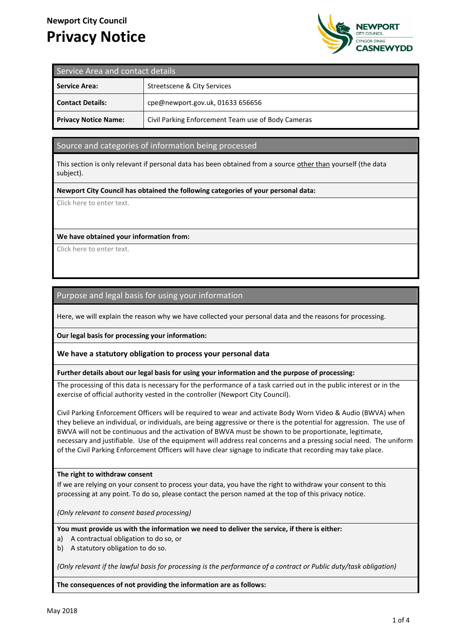# **Newport City Council Privacy Notice**



| Service Area and contact details |                                                    |
|----------------------------------|----------------------------------------------------|
| <b>Service Area:</b>             | Streetscene & City Services                        |
| <b>Contact Details:</b>          | cpe@newport.gov.uk, 01633 656656                   |
| <b>Privacy Notice Name:</b>      | Civil Parking Enforcement Team use of Body Cameras |

## Source and categories of information being processed

This section is only relevant if personal data has been obtained from a source other than yourself (the data subject).

#### **Newport City Council has obtained the following categories of your personal data:**

Click here to enter text.

#### **We have obtained your information from:**

Click here to enter text.

# Purpose and legal basis for using your information

Here, we will explain the reason why we have collected your personal data and the reasons for processing.

**Our legal basis for processing your information:**

**We have a statutory obligation to process your personal data**

#### **Further details about our legal basis for using your information and the purpose of processing:**

The processing of this data is necessary for the performance of a task carried out in the public interest or in the exercise of official authority vested in the controller (Newport City Council).

Civil Parking Enforcement Officers will be required to wear and activate Body Worn Video & Audio (BWVA) when they believe an individual, or individuals, are being aggressive or there is the potential for aggression. The use of BWVA will not be continuous and the activation of BWVA must be shown to be proportionate, legitimate, necessary and justifiable. Use of the equipment will address real concerns and a pressing social need. The uniform of the Civil Parking Enforcement Officers will have clear signage to indicate that recording may take place.

#### **The right to withdraw consent**

If we are relying on your consent to process your data, you have the right to withdraw your consent to this processing at any point. To do so, please contact the person named at the top of this privacy notice.

*(Only relevant to consent based processing)*

**You must provide us with the information we need to deliver the service, if there is either:**

- a) A contractual obligation to do so, or
- b) A statutory obligation to do so.

*(Only relevant if the lawful basis for processing is the performance of a contract or Public duty/task obligation)*

**The consequences of not providing the information are as follows:**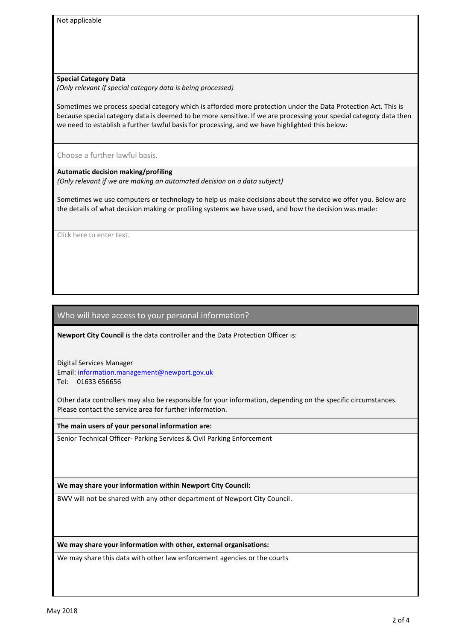Not applicable

#### **Special Category Data**

*(Only relevant if special category data is being processed)*

Sometimes we process special category which is afforded more protection under the Data Protection Act. This is because special category data is deemed to be more sensitive. If we are processing your special category data then we need to establish a further lawful basis for processing, and we have highlighted this below:

Choose a further lawful basis.

#### **Automatic decision making/profiling**

*(Only relevant if we are making an automated decision on a data subject)*

Sometimes we use computers or technology to help us make decisions about the service we offer you. Below are the details of what decision making or profiling systems we have used, and how the decision was made:

Click here to enter text.

# Who will have access to your personal information?

**Newport City Council** is the data controller and the Data Protection Officer is:

Digital Services Manager Email: information.management@newport.gov.uk Tel: 01633 656656

Other data controllers may also be responsible for your information, depending on the specific circumstances. Please contact the service area for further information.

**The main users of your personal information are:**

Senior Technical Officer- Parking Services & Civil Parking Enforcement

**We may share your information within Newport City Council:**

BWV will not be shared with any other department of Newport City Council.

**We may share your information with other, external organisations:**

We may share this data with other law enforcement agencies or the courts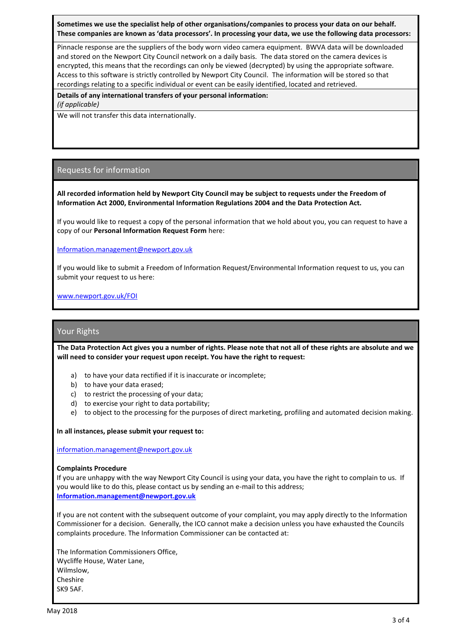**Sometimes we use the specialist help of other organisations/companies to process your data on our behalf. These companies are known as 'data processors'. In processing your data, we use the following data processors:**

Pinnacle response are the suppliers of the body worn video camera equipment. BWVA data will be downloaded and stored on the Newport City Council network on a daily basis. The data stored on the camera devices is encrypted, this means that the recordings can only be viewed (decrypted) by using the appropriate software. Access to this software is strictly controlled by Newport City Council. The information will be stored so that recordings relating to a specific individual or event can be easily identified, located and retrieved.

**Details of any international transfers of your personal information:**

*(if applicable)*

We will not transfer this data internationally.

# Requests for information

**All recorded information held by Newport City Council may be subject to requests under the Freedom of Information Act 2000, Environmental Information Regulations 2004 and the Data Protection Act.**

If you would like to request a copy of the personal information that we hold about you, you can request to have a copy of our **Personal Information Request Form** here:

[Information.management@newport.gov.uk](mailto:Information.management@newport.gov.uk)

If you would like to submit a Freedom of Information Request/Environmental Information request to us, you can submit your request to us here:

[www.newport.gov.uk/FOI](http://www.newport.gov.uk/FOI)

## Your Rights

**The Data Protection Act gives you a number of rights. Please note that not all of these rights are absolute and we will need to consider your request upon receipt. You have the right to request:**

- a) to have your data rectified if it is inaccurate or incomplete;
- b) to have your data erased;
- c) to restrict the processing of your data;
- d) to exercise your right to data portability;
- e) to object to the processing for the purposes of direct marketing, profiling and automated decision making.

**In all instances, please submit your request to:**

[information.management@newport.gov.uk](mailto:information.management@newport.gov.uk)

#### **Complaints Procedure**

If you are unhappy with the way Newport City Council is using your data, you have the right to complain to us. If you would like to do this, please contact us by sending an e-mail to this address; **[Information.management@newport.gov.uk](mailto:Information.management@newport.gov.uk)**

If you are not content with the subsequent outcome of your complaint, you may apply directly to the Information Commissioner for a decision. Generally, the ICO cannot make a decision unless you have exhausted the Councils complaints procedure. The Information Commissioner can be contacted at:

The Information Commissioners Office, Wycliffe House, Water Lane, Wilmslow, Cheshire SK9 5AF.